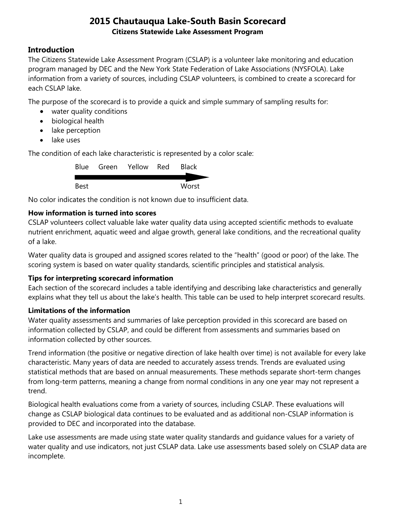# **Introduction**

The Citizens Statewide Lake Assessment Program (CSLAP) is a volunteer lake monitoring and education program managed by DEC and the New York State Federation of Lake Associations (NYSFOLA). Lake information from a variety of sources, including CSLAP volunteers, is combined to create a scorecard for each CSLAP lake.

The purpose of the scorecard is to provide a quick and simple summary of sampling results for:

- water quality conditions
- biological health
- lake perception
- lake uses

The condition of each lake characteristic is represented by a color scale:

|      | Blue Green Yellow Red | <b>Black</b> |
|------|-----------------------|--------------|
|      |                       |              |
| Best |                       | Worst        |

No color indicates the condition is not known due to insufficient data.

## **How information is turned into scores**

CSLAP volunteers collect valuable lake water quality data using accepted scientific methods to evaluate nutrient enrichment, aquatic weed and algae growth, general lake conditions, and the recreational quality of a lake.

Water quality data is grouped and assigned scores related to the "health" (good or poor) of the lake. The scoring system is based on water quality standards, scientific principles and statistical analysis.

## **Tips for interpreting scorecard information**

Each section of the scorecard includes a table identifying and describing lake characteristics and generally explains what they tell us about the lake's health. This table can be used to help interpret scorecard results.

## **Limitations of the information**

Water quality assessments and summaries of lake perception provided in this scorecard are based on information collected by CSLAP, and could be different from assessments and summaries based on information collected by other sources.

Trend information (the positive or negative direction of lake health over time) is not available for every lake characteristic. Many years of data are needed to accurately assess trends. Trends are evaluated using statistical methods that are based on annual measurements. These methods separate short-term changes from long-term patterns, meaning a change from normal conditions in any one year may not represent a trend.

Biological health evaluations come from a variety of sources, including CSLAP. These evaluations will change as CSLAP biological data continues to be evaluated and as additional non-CSLAP information is provided to DEC and incorporated into the database.

Lake use assessments are made using state water quality standards and guidance values for a variety of water quality and use indicators, not just CSLAP data. Lake use assessments based solely on CSLAP data are incomplete.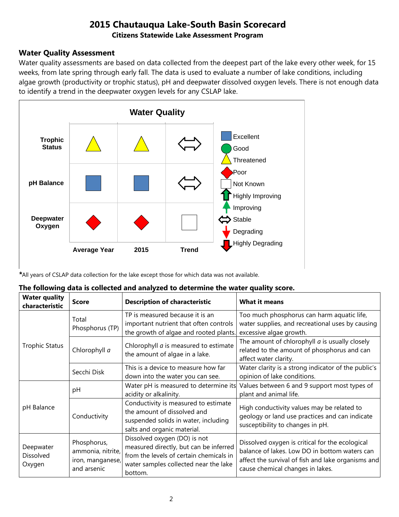#### **Water Quality Assessment**

Water quality assessments are based on data collected from the deepest part of the lake every other week, for 15 weeks, from late spring through early fall. The data is used to evaluate a number of lake conditions, including algae growth (productivity or trophic status), pH and deepwater dissolved oxygen levels. There is not enough data to identify a trend in the deepwater oxygen levels for any CSLAP lake.



*\**All years of CSLAP data collection for the lake except those for which data was not available.

| <b>Water quality</b><br>characteristic | <b>Score</b>                                                        | <b>Description of characteristic</b>                                                                                                                                  | <b>What it means</b>                                                                                                                                                                       |
|----------------------------------------|---------------------------------------------------------------------|-----------------------------------------------------------------------------------------------------------------------------------------------------------------------|--------------------------------------------------------------------------------------------------------------------------------------------------------------------------------------------|
|                                        | Total<br>Phosphorus (TP)                                            | TP is measured because it is an<br>important nutrient that often controls<br>the growth of algae and rooted plants.                                                   | Too much phosphorus can harm aquatic life,<br>water supplies, and recreational uses by causing<br>excessive algae growth.                                                                  |
| <b>Trophic Status</b>                  | Chlorophyll a                                                       | Chlorophyll $a$ is measured to estimate<br>the amount of algae in a lake.                                                                                             | The amount of chlorophyll $a$ is usually closely<br>related to the amount of phosphorus and can<br>affect water clarity.                                                                   |
|                                        | Secchi Disk                                                         | This is a device to measure how far<br>down into the water you can see.                                                                                               | Water clarity is a strong indicator of the public's<br>opinion of lake conditions.                                                                                                         |
|                                        | pH                                                                  | Water pH is measured to determine its<br>acidity or alkalinity.                                                                                                       | Values between 6 and 9 support most types of<br>plant and animal life.                                                                                                                     |
| pH Balance                             | Conductivity                                                        | Conductivity is measured to estimate<br>the amount of dissolved and<br>suspended solids in water, including<br>salts and organic material.                            | High conductivity values may be related to<br>geology or land use practices and can indicate<br>susceptibility to changes in pH.                                                           |
| Deepwater<br>Dissolved<br>Oxygen       | Phosphorus,<br>ammonia, nitrite,<br>iron, manganese,<br>and arsenic | Dissolved oxygen (DO) is not<br>measured directly, but can be inferred<br>from the levels of certain chemicals in<br>water samples collected near the lake<br>bottom. | Dissolved oxygen is critical for the ecological<br>balance of lakes. Low DO in bottom waters can<br>affect the survival of fish and lake organisms and<br>cause chemical changes in lakes. |

#### **The following data is collected and analyzed to determine the water quality score.**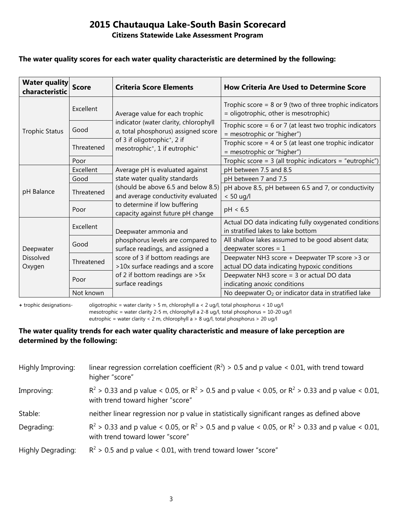#### **Citizens Statewide Lake Assessment Program**

#### **The water quality scores for each water quality characteristic are determined by the following:**

| <b>Water quality</b><br>characteristic | <b>Score</b> | <b>Criteria Score Elements</b>                                                                     | <b>How Criteria Are Used to Determine Score</b>                                                      |
|----------------------------------------|--------------|----------------------------------------------------------------------------------------------------|------------------------------------------------------------------------------------------------------|
| <b>Trophic Status</b>                  | Excellent    | Average value for each trophic                                                                     | Trophic score = $8$ or $9$ (two of three trophic indicators<br>= oligotrophic, other is mesotrophic) |
|                                        | Good         | indicator (water clarity, chlorophyll<br>a, total phosphorus) assigned score                       | Trophic score = $6$ or 7 (at least two trophic indicators<br>= mesotrophic or "higher")              |
|                                        | Threatened   | of 3 if oligotrophic <sup>+</sup> , 2 if<br>mesotrophic <sup>+</sup> , 1 if eutrophic <sup>+</sup> | Trophic score = $4$ or $5$ (at least one trophic indicator<br>= mesotrophic or "higher")             |
|                                        | Poor         |                                                                                                    | Trophic score = $3$ (all trophic indicators = "eutrophic")                                           |
|                                        | Excellent    | Average pH is evaluated against                                                                    | pH between 7.5 and 8.5                                                                               |
|                                        | Good         | state water quality standards                                                                      | pH between 7 and 7.5                                                                                 |
| pH Balance                             | Threatened   | (should be above 6.5 and below 8.5)<br>and average conductivity evaluated                          | pH above 8.5, pH between 6.5 and 7, or conductivity<br>$< 50$ ug/l                                   |
|                                        | Poor         | to determine if low buffering<br>capacity against future pH change                                 | pH < 6.5                                                                                             |
|                                        | Excellent    | Deepwater ammonia and                                                                              | Actual DO data indicating fully oxygenated conditions<br>in stratified lakes to lake bottom          |
| Deepwater                              | Good         | phosphorus levels are compared to<br>surface readings, and assigned a                              | All shallow lakes assumed to be good absent data;<br>deepwater scores = $1$                          |
| <b>Dissolved</b><br>Oxygen             | Threatened   | score of 3 if bottom readings are<br>>10x surface readings and a score                             | Deepwater NH3 score + Deepwater TP score > 3 or<br>actual DO data indicating hypoxic conditions      |
|                                        | Poor         | of 2 if bottom readings are > 5x<br>surface readings                                               | Deepwater NH3 score = 3 or actual DO data<br>indicating anoxic conditions                            |
|                                        | Not known    |                                                                                                    | No deepwater O <sub>2</sub> or indicator data in stratified lake                                     |

**+** trophic designations- oligotrophic = water clarity > 5 m, chlorophyll a < 2 ug/l, total phosphorus < 10 ug/l mesotrophic = water clarity 2-5 m, chlorophyll a 2-8 ug/l, total phosphorus = 10-20 ug/l

eutrophic = water clarity < 2 m, chlorophyll a > 8 ug/l, total phosphorus > 20 ug/l

#### **The water quality trends for each water quality characteristic and measure of lake perception are determined by the following:**

| Highly Improving: | linear regression correlation coefficient ( $R^2$ ) > 0.5 and p value < 0.01, with trend toward<br>higher "score"                           |
|-------------------|---------------------------------------------------------------------------------------------------------------------------------------------|
| Improving:        | $R^2 > 0.33$ and p value < 0.05, or $R^2 > 0.5$ and p value < 0.05, or $R^2 > 0.33$ and p value < 0.01,<br>with trend toward higher "score" |
| Stable:           | neither linear regression nor p value in statistically significant ranges as defined above                                                  |
| Degrading:        | $R^2 > 0.33$ and p value < 0.05, or $R^2 > 0.5$ and p value < 0.05, or $R^2 > 0.33$ and p value < 0.01,<br>with trend toward lower "score"  |
| Highly Degrading: | $R^2$ > 0.5 and p value < 0.01, with trend toward lower "score"                                                                             |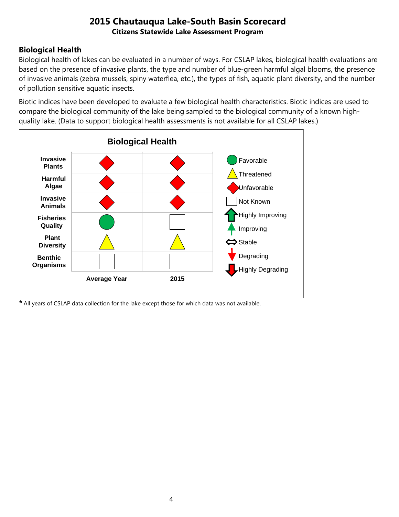# **Biological Health**

Biological health of lakes can be evaluated in a number of ways. For CSLAP lakes, biological health evaluations are based on the presence of invasive plants, the type and number of blue-green harmful algal blooms, the presence of invasive animals (zebra mussels, spiny waterflea, etc.), the types of fish, aquatic plant diversity, and the number of pollution sensitive aquatic insects.

Biotic indices have been developed to evaluate a few biological health characteristics. Biotic indices are used to compare the biological community of the lake being sampled to the biological community of a known highquality lake. (Data to support biological health assessments is not available for all CSLAP lakes.)



*\** All years of CSLAP data collection for the lake except those for which data was not available.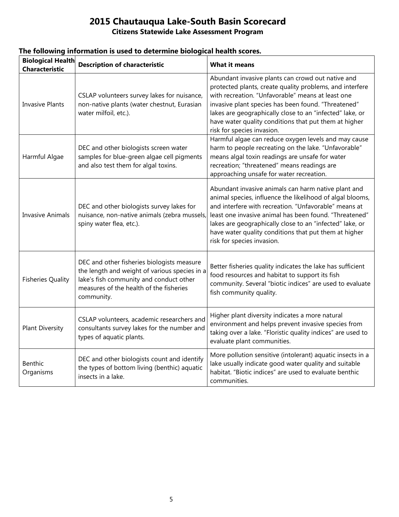# **Citizens Statewide Lake Assessment Program**

| <b>Biological Health</b><br><b>Characteristic</b> | <b>Description of characteristic</b>                                                                                                                                                            | <b>What it means</b>                                                                                                                                                                                                                                                                                                                                                                   |
|---------------------------------------------------|-------------------------------------------------------------------------------------------------------------------------------------------------------------------------------------------------|----------------------------------------------------------------------------------------------------------------------------------------------------------------------------------------------------------------------------------------------------------------------------------------------------------------------------------------------------------------------------------------|
| <b>Invasive Plants</b>                            | CSLAP volunteers survey lakes for nuisance,<br>non-native plants (water chestnut, Eurasian<br>water milfoil, etc.).                                                                             | Abundant invasive plants can crowd out native and<br>protected plants, create quality problems, and interfere<br>with recreation. "Unfavorable" means at least one<br>invasive plant species has been found. "Threatened"<br>lakes are geographically close to an "infected" lake, or<br>have water quality conditions that put them at higher<br>risk for species invasion.           |
| Harmful Algae                                     | DEC and other biologists screen water<br>samples for blue-green algae cell pigments<br>and also test them for algal toxins.                                                                     | Harmful algae can reduce oxygen levels and may cause<br>harm to people recreating on the lake. "Unfavorable"<br>means algal toxin readings are unsafe for water<br>recreation; "threatened" means readings are<br>approaching unsafe for water recreation.                                                                                                                             |
| <b>Invasive Animals</b>                           | DEC and other biologists survey lakes for<br>nuisance, non-native animals (zebra mussels,<br>spiny water flea, etc.).                                                                           | Abundant invasive animals can harm native plant and<br>animal species, influence the likelihood of algal blooms,<br>and interfere with recreation. "Unfavorable" means at<br>least one invasive animal has been found. "Threatened"<br>lakes are geographically close to an "infected" lake, or<br>have water quality conditions that put them at higher<br>risk for species invasion. |
| <b>Fisheries Quality</b>                          | DEC and other fisheries biologists measure<br>the length and weight of various species in a<br>lake's fish community and conduct other<br>measures of the health of the fisheries<br>community. | Better fisheries quality indicates the lake has sufficient<br>food resources and habitat to support its fish<br>community. Several "biotic indices" are used to evaluate<br>fish community quality.                                                                                                                                                                                    |
| <b>Plant Diversity</b>                            | CSLAP volunteers, academic researchers and<br>consultants survey lakes for the number and<br>types of aquatic plants.                                                                           | Higher plant diversity indicates a more natural<br>environment and helps prevent invasive species from<br>taking over a lake. "Floristic quality indices" are used to<br>evaluate plant communities.                                                                                                                                                                                   |
| Benthic<br>Organisms                              | DEC and other biologists count and identify<br>the types of bottom living (benthic) aquatic<br>insects in a lake.                                                                               | More pollution sensitive (intolerant) aquatic insects in a<br>lake usually indicate good water quality and suitable<br>habitat. "Biotic indices" are used to evaluate benthic<br>communities.                                                                                                                                                                                          |

#### **The following information is used to determine biological health scores.**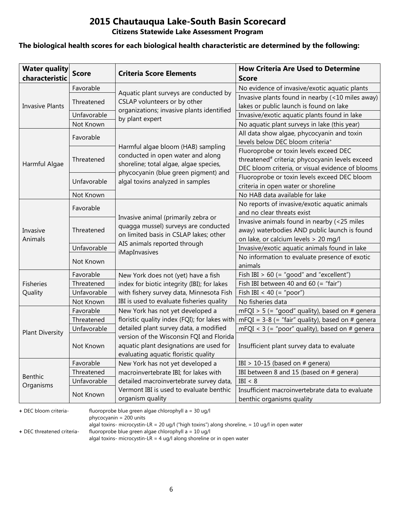#### **Citizens Statewide Lake Assessment Program**

#### **The biological health scores for each biological health characteristic are determined by the following:**

| <b>Water quality</b><br>characteristic | <b>Score</b> | <b>Criteria Score Elements</b>                                                                                              | <b>How Criteria Are Used to Determine</b><br><b>Score</b>                                                                                                 |
|----------------------------------------|--------------|-----------------------------------------------------------------------------------------------------------------------------|-----------------------------------------------------------------------------------------------------------------------------------------------------------|
|                                        | Favorable    |                                                                                                                             | No evidence of invasive/exotic aquatic plants                                                                                                             |
|                                        | Threatened   | Aquatic plant surveys are conducted by<br>CSLAP volunteers or by other                                                      | Invasive plants found in nearby (<10 miles away)                                                                                                          |
| <b>Invasive Plants</b>                 |              | organizations; invasive plants identified                                                                                   | lakes or public launch is found on lake                                                                                                                   |
|                                        | Unfavorable  | by plant expert                                                                                                             | Invasive/exotic aquatic plants found in lake                                                                                                              |
|                                        | Not Known    |                                                                                                                             | No aquatic plant surveys in lake (this year)                                                                                                              |
|                                        | Favorable    |                                                                                                                             | All data show algae, phycocyanin and toxin<br>levels below DEC bloom criteria <sup>+</sup>                                                                |
| Harmful Algae                          | Threatened   | Harmful algae bloom (HAB) sampling<br>conducted in open water and along<br>shoreline; total algae, algae species,           | Fluoroprobe or toxin levels exceed DEC<br>threatened <sup>#</sup> criteria; phycocyanin levels exceed<br>DEC bloom criteria, or visual evidence of blooms |
|                                        | Unfavorable  | phycocyanin (blue green pigment) and<br>algal toxins analyzed in samples                                                    | Fluoroprobe or toxin levels exceed DEC bloom<br>criteria in open water or shoreline                                                                       |
|                                        | Not Known    |                                                                                                                             | No HAB data available for lake                                                                                                                            |
|                                        | Favorable    |                                                                                                                             | No reports of invasive/exotic aquatic animals<br>and no clear threats exist                                                                               |
| Invasive<br>Animals                    | Threatened   | Invasive animal (primarily zebra or<br>quagga mussel) surveys are conducted<br>on limited basis in CSLAP lakes; other       | Invasive animals found in nearby (<25 miles<br>away) waterbodies AND public launch is found<br>on lake, or calcium levels > 20 mg/l                       |
|                                        | Unfavorable  | AIS animals reported through                                                                                                | Invasive/exotic aquatic animals found in lake                                                                                                             |
|                                        | Not Known    | iMapInvasives                                                                                                               | No information to evaluate presence of exotic<br>animals                                                                                                  |
|                                        | Favorable    | New York does not (yet) have a fish                                                                                         | Fish IBI $> 60$ (= "good" and "excellent")                                                                                                                |
| <b>Fisheries</b>                       | Threatened   | index for biotic integrity (IBI); for lakes                                                                                 | Fish IBI between 40 and 60 (= "fair")                                                                                                                     |
| Quality                                | Unfavorable  | with fishery survey data, Minnesota Fish                                                                                    | Fish IBI < 40 (= "poor")                                                                                                                                  |
|                                        | Not Known    | IBI is used to evaluate fisheries quality                                                                                   | No fisheries data                                                                                                                                         |
|                                        | Favorable    | New York has not yet developed a                                                                                            | $mFQI > 5$ (= "good" quality), based on # genera                                                                                                          |
|                                        | Threatened   | floristic quality index (FQI); for lakes with                                                                               | $mFQI = 3-8$ (= "fair" quality), based on # genera                                                                                                        |
| <b>Plant Diversity</b>                 | Unfavorable  | detailed plant survey data, a modified                                                                                      | mFQI < $3$ (= "poor" quality), based on # genera                                                                                                          |
|                                        | Not Known    | version of the Wisconsin FQI and Florida<br>aquatic plant designations are used for<br>evaluating aquatic floristic quality | Insufficient plant survey data to evaluate                                                                                                                |
|                                        | Favorable    | New York has not yet developed a                                                                                            | IBI > 10-15 (based on $#$ genera)                                                                                                                         |
|                                        | Threatened   | macroinvertebrate IBI; for lakes with                                                                                       | IBI between 8 and 15 (based on # genera)                                                                                                                  |
| Benthic<br>Organisms                   | Unfavorable  | detailed macroinvertebrate survey data,                                                                                     | IBI < 8                                                                                                                                                   |
|                                        | Not Known    | Vermont IBI is used to evaluate benthic<br>organism quality                                                                 | Insufficient macroinvertebrate data to evaluate<br>benthic organisms quality                                                                              |

**+** DEC bloom criteria- fluoroprobe blue green algae chlorophyll a = 30 ug/l

phycocyanin = 200 units

algal toxins- microcystin-LR = 20 ug/l ("high toxins") along shoreline, = 10 ug/l in open water

**+** DEC threatened criteria- fluoroprobe blue green algae chlorophyll a = 10 ug/l

algal toxins- microcystin-LR = 4 ug/l along shoreline or in open water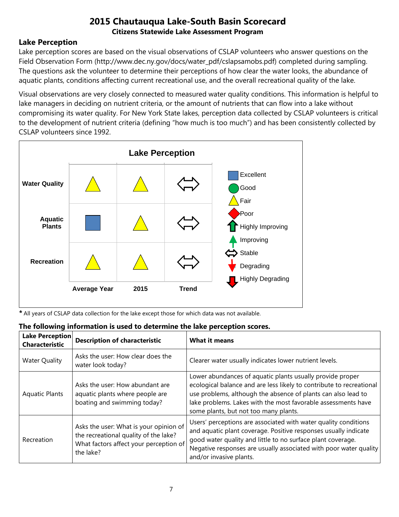## **Lake Perception**

Lake perception scores are based on the visual observations of CSLAP volunteers who answer questions on the Field Observation Form (http://www.dec.ny.gov/docs/water\_pdf/cslapsamobs.pdf) completed during sampling. The questions ask the volunteer to determine their perceptions of how clear the water looks, the abundance of aquatic plants, conditions affecting current recreational use, and the overall recreational quality of the lake.

Visual observations are very closely connected to measured water quality conditions. This information is helpful to lake managers in deciding on nutrient criteria, or the amount of nutrients that can flow into a lake without compromising its water quality. For New York State lakes, perception data collected by CSLAP volunteers is critical to the development of nutrient criteria (defining "how much is too much") and has been consistently collected by CSLAP volunteers since 1992.



*\** All years of CSLAP data collection for the lake except those for which data was not available.

#### **The following information is used to determine the lake perception scores.**

| Lake Perception<br><b>Characteristic</b> | <b>Description of characteristic</b>                                                                                                   | <b>What it means</b>                                                                                                                                                                                                                                                                                         |
|------------------------------------------|----------------------------------------------------------------------------------------------------------------------------------------|--------------------------------------------------------------------------------------------------------------------------------------------------------------------------------------------------------------------------------------------------------------------------------------------------------------|
| <b>Water Quality</b>                     | Asks the user: How clear does the<br>water look today?                                                                                 | Clearer water usually indicates lower nutrient levels.                                                                                                                                                                                                                                                       |
| <b>Aquatic Plants</b>                    | Asks the user: How abundant are<br>aquatic plants where people are<br>boating and swimming today?                                      | Lower abundances of aquatic plants usually provide proper<br>ecological balance and are less likely to contribute to recreational<br>use problems, although the absence of plants can also lead to<br>lake problems. Lakes with the most favorable assessments have<br>some plants, but not too many plants. |
| Recreation                               | Asks the user: What is your opinion of<br>the recreational quality of the lake?<br>What factors affect your perception of<br>the lake? | Users' perceptions are associated with water quality conditions<br>and aquatic plant coverage. Positive responses usually indicate<br>good water quality and little to no surface plant coverage.<br>Negative responses are usually associated with poor water quality<br>and/or invasive plants.            |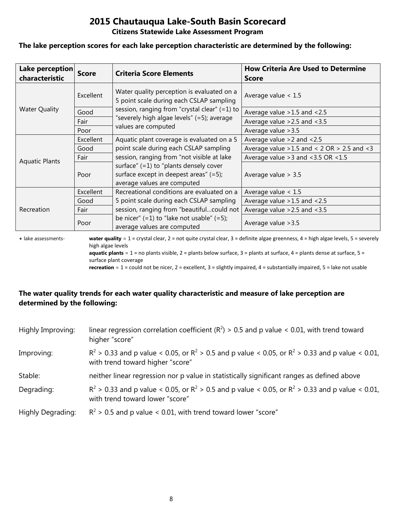#### **Citizens Statewide Lake Assessment Program**

#### **The lake perception scores for each lake perception characteristic are determined by the following:**

| Lake perception<br>characteristic | <b>Score</b> | <b>Criteria Score Elements</b>                                                                                       | <b>How Criteria Are Used to Determine</b><br><b>Score</b> |
|-----------------------------------|--------------|----------------------------------------------------------------------------------------------------------------------|-----------------------------------------------------------|
|                                   | Excellent    | Water quality perception is evaluated on a<br>5 point scale during each CSLAP sampling                               | Average value $< 1.5$                                     |
| <b>Water Quality</b>              | Good         | session, ranging from "crystal clear" (=1) to                                                                        | Average value > 1.5 and < 2.5                             |
|                                   | Fair         | "severely high algae levels" (=5); average                                                                           | Average value $>2.5$ and $<3.5$                           |
|                                   | Poor         | values are computed                                                                                                  | Average value > 3.5                                       |
|                                   | Excellent    | Aquatic plant coverage is evaluated on a 5                                                                           | Average value $>2$ and $< 2.5$                            |
|                                   | Good         | point scale during each CSLAP sampling                                                                               | Average value $>1.5$ and < 2 OR $> 2.5$ and < 3           |
| <b>Aquatic Plants</b>             | Fair         | session, ranging from "not visible at lake                                                                           | Average value $>3$ and $<3.5$ OR $<1.5$                   |
|                                   | Poor         | surface" $(=1)$ to "plants densely cover<br>surface except in deepest areas" $(=5)$ ;<br>average values are computed | Average value $> 3.5$                                     |
|                                   | Excellent    | Recreational conditions are evaluated on a                                                                           | Average value $< 1.5$                                     |
|                                   | Good         | 5 point scale during each CSLAP sampling                                                                             | Average value $>1.5$ and $<2.5$                           |
| Recreation                        | Fair         | session, ranging from "beautifulcould not                                                                            | Average value $>2.5$ and $<3.5$                           |
|                                   | Poor         | be nicer" $(=1)$ to "lake not usable" $(=5)$ ;<br>average values are computed                                        | Average value > 3.5                                       |

**+** lake assessments- **water quality** = 1 = crystal clear, 2 = not quite crystal clear, 3 = definite algae greenness, 4 = high algae levels, 5 = severely high algae levels **aquatic plants** = 1 = no plants visible, 2 = plants below surface, 3 = plants at surface, 4 = plants dense at surface, 5 =

surface plant coverage

**recreation** = 1 = could not be nicer, 2 = excellent, 3 = slightly impaired, 4 = substantially impaired, 5 = lake not usable

## **The water quality trends for each water quality characteristic and measure of lake perception are determined by the following:**

| Highly Improving: | linear regression correlation coefficient ( $R^2$ ) > 0.5 and p value < 0.01, with trend toward<br>higher "score"                           |
|-------------------|---------------------------------------------------------------------------------------------------------------------------------------------|
| Improving:        | $R^2 > 0.33$ and p value < 0.05, or $R^2 > 0.5$ and p value < 0.05, or $R^2 > 0.33$ and p value < 0.01,<br>with trend toward higher "score" |
| Stable:           | neither linear regression nor p value in statistically significant ranges as defined above                                                  |
| Degrading:        | $R^2 > 0.33$ and p value < 0.05, or $R^2 > 0.5$ and p value < 0.05, or $R^2 > 0.33$ and p value < 0.01,<br>with trend toward lower "score"  |
| Highly Degrading: | $R^2$ > 0.5 and p value < 0.01, with trend toward lower "score"                                                                             |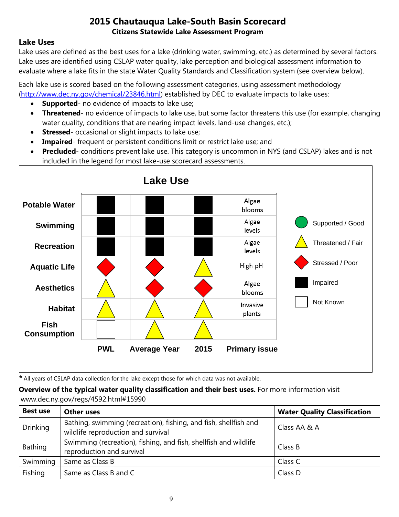## **Lake Uses**

Lake uses are defined as the best uses for a lake (drinking water, swimming, etc.) as determined by several factors. Lake uses are identified using CSLAP water quality, lake perception and biological assessment information to evaluate where a lake fits in the state Water Quality Standards and Classification system (see overview below).

Each lake use is scored based on the following assessment categories, using assessment methodology [\(http://www.dec.ny.gov/chemical/23846.html\)](http://www.dec.ny.gov/chemical/23846.html) established by DEC to evaluate impacts to lake uses:

- **Supported** no evidence of impacts to lake use;
- **Threatened** no evidence of impacts to lake use, but some factor threatens this use (for example, changing water quality, conditions that are nearing impact levels, land-use changes, etc.);
- **Stressed** occasional or slight impacts to lake use;
- **Impaired** frequent or persistent conditions limit or restrict lake use; and
- **Precluded** conditions prevent lake use. This category is uncommon in NYS (and CSLAP) lakes and is not included in the legend for most lake-use scorecard assessments.



*\** All years of CSLAP data collection for the lake except those for which data was not available.

**Overview of the typical water quality classification and their best uses.** For more information visit www.dec.ny.gov/regs/4592.html#15990

| <b>Best use</b> | <b>Other uses</b>                                                                                      | <b>Water Quality Classification</b> |
|-----------------|--------------------------------------------------------------------------------------------------------|-------------------------------------|
| <b>Drinking</b> | Bathing, swimming (recreation), fishing, and fish, shellfish and<br>wildlife reproduction and survival | Class AA & A                        |
| Bathing         | Swimming (recreation), fishing, and fish, shellfish and wildlife<br>reproduction and survival          | Class B                             |
| Swimming        | Same as Class B                                                                                        | Class C                             |
| Fishing         | Same as Class B and C                                                                                  | Class D                             |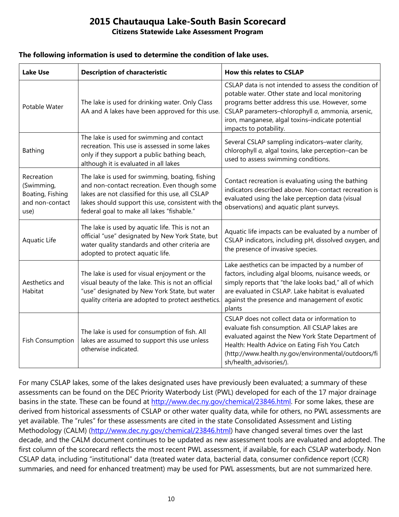#### **Citizens Statewide Lake Assessment Program**

#### **The following information is used to determine the condition of lake uses.**

| <b>Lake Use</b>                                                         | <b>Description of characteristic</b>                                                                                                                                                                                                                    | <b>How this relates to CSLAP</b>                                                                                                                                                                                                                                                               |
|-------------------------------------------------------------------------|---------------------------------------------------------------------------------------------------------------------------------------------------------------------------------------------------------------------------------------------------------|------------------------------------------------------------------------------------------------------------------------------------------------------------------------------------------------------------------------------------------------------------------------------------------------|
| Potable Water                                                           | The lake is used for drinking water. Only Class<br>AA and A lakes have been approved for this use.                                                                                                                                                      | CSLAP data is not intended to assess the condition of<br>potable water. Other state and local monitoring<br>programs better address this use. However, some<br>CSLAP parameters-chlorophyll a, ammonia, arsenic,<br>iron, manganese, algal toxins-indicate potential<br>impacts to potability. |
| Bathing                                                                 | The lake is used for swimming and contact<br>recreation. This use is assessed in some lakes<br>only if they support a public bathing beach,<br>although it is evaluated in all lakes                                                                    | Several CSLAP sampling indicators-water clarity,<br>chlorophyll a, algal toxins, lake perception-can be<br>used to assess swimming conditions.                                                                                                                                                 |
| Recreation<br>(Swimming,<br>Boating, Fishing<br>and non-contact<br>use) | The lake is used for swimming, boating, fishing<br>and non-contact recreation. Even though some<br>lakes are not classified for this use, all CSLAP<br>lakes should support this use, consistent with the<br>federal goal to make all lakes "fishable." | Contact recreation is evaluating using the bathing<br>indicators described above. Non-contact recreation is<br>evaluated using the lake perception data (visual<br>observations) and aquatic plant surveys.                                                                                    |
| Aquatic Life                                                            | The lake is used by aquatic life. This is not an<br>official "use" designated by New York State, but<br>water quality standards and other criteria are<br>adopted to protect aquatic life.                                                              | Aquatic life impacts can be evaluated by a number of<br>CSLAP indicators, including pH, dissolved oxygen, and<br>the presence of invasive species.                                                                                                                                             |
| Aesthetics and<br>Habitat                                               | The lake is used for visual enjoyment or the<br>visual beauty of the lake. This is not an official<br>"use" designated by New York State, but water<br>quality criteria are adopted to protect aesthetics.                                              | Lake aesthetics can be impacted by a number of<br>factors, including algal blooms, nuisance weeds, or<br>simply reports that "the lake looks bad," all of which<br>are evaluated in CSLAP. Lake habitat is evaluated<br>against the presence and management of exotic<br>plants                |
| <b>Fish Consumption</b>                                                 | The lake is used for consumption of fish. All<br>lakes are assumed to support this use unless<br>otherwise indicated.                                                                                                                                   | CSLAP does not collect data or information to<br>evaluate fish consumption. All CSLAP lakes are<br>evaluated against the New York State Department of<br>Health: Health Advice on Eating Fish You Catch<br>(http://www.health.ny.gov/environmental/outdoors/fi<br>sh/health_advisories/).      |

For many CSLAP lakes, some of the lakes designated uses have previously been evaluated; a summary of these assessments can be found on the DEC Priority Waterbody List (PWL) developed for each of the 17 major drainage basins in the state. These can be found at [http://www.dec.ny.gov/chemical/23846.html.](http://www.dec.ny.gov/chemical/23846.html) For some lakes, these are derived from historical assessments of CSLAP or other water quality data, while for others, no PWL assessments are yet available. The "rules" for these assessments are cited in the state Consolidated Assessment and Listing Methodology (CALM) [\(http://www.dec.ny.gov/chemical/23846.html\)](http://www.dec.ny.gov/chemical/23846.html) have changed several times over the last decade, and the CALM document continues to be updated as new assessment tools are evaluated and adopted. The first column of the scorecard reflects the most recent PWL assessment, if available, for each CSLAP waterbody. Non CSLAP data, including "institutional" data (treated water data, bacterial data, consumer confidence report (CCR) summaries, and need for enhanced treatment) may be used for PWL assessments, but are not summarized here.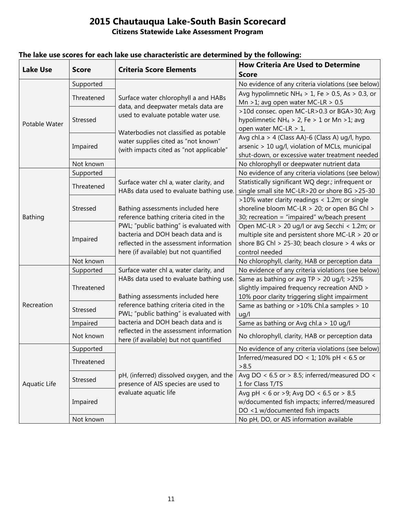| <b>How Criteria Are Used to Determine</b>                                                                                                                                          |  |
|------------------------------------------------------------------------------------------------------------------------------------------------------------------------------------|--|
| <b>Lake Use</b><br><b>Criteria Score Elements</b><br><b>Score</b><br><b>Score</b>                                                                                                  |  |
| Supported<br>No evidence of any criteria violations (see below)                                                                                                                    |  |
| Avg hypolimnetic NH <sub>4</sub> > 1, Fe > 0.5, As > 0.3, or<br>Threatened                                                                                                         |  |
| Surface water chlorophyll a and HABs<br>Mn >1; avg open water MC-LR > $0.5$<br>data, and deepwater metals data are                                                                 |  |
| >10d consec. open MC-LR>0.3 or BGA>30; Avg<br>used to evaluate potable water use.                                                                                                  |  |
| hypolimnetic NH <sub>4</sub> > 2, Fe > 1 or Mn > 1; avg<br>Stressed<br>Potable Water                                                                                               |  |
| open water MC-LR > 1,<br>Waterbodies not classified as potable                                                                                                                     |  |
| Avg chl.a > 4 (Class AA)-6 (Class A) ug/l, hypo.<br>water supplies cited as "not known"                                                                                            |  |
| Impaired<br>arsenic > 10 ug/l, violation of MCLs, municipal<br>(with impacts cited as "not applicable"                                                                             |  |
| shut-down, or excessive water treatment needed                                                                                                                                     |  |
| Not known<br>No chlorophyll or deepwater nutrient data                                                                                                                             |  |
| Supported<br>No evidence of any criteria violations (see below)                                                                                                                    |  |
| Statistically significant WQ degr.; infrequent or<br>Surface water chl a, water clarity, and<br>Threatened                                                                         |  |
| single small site MC-LR>20 or shore BG >25-30<br>HABs data used to evaluate bathing use.                                                                                           |  |
| >10% water clarity readings < 1.2m; or single                                                                                                                                      |  |
| Stressed<br>Bathing assessments included here<br>shoreline bloom MC-LR > 20; or open BG Chl >                                                                                      |  |
| reference bathing criteria cited in the<br>30; recreation = "impaired" w/beach present<br>Bathing                                                                                  |  |
| PWL; "public bathing" is evaluated with<br>Open MC-LR > 20 ug/l or avg Secchi < 1.2m; or                                                                                           |  |
| bacteria and DOH beach data and is<br>multiple site and persistent shore MC-LR > 20 or<br>Impaired                                                                                 |  |
| reflected in the assessment information<br>shore BG Chl > 25-30; beach closure > 4 wks or                                                                                          |  |
| here (if available) but not quantified<br>control needed                                                                                                                           |  |
| Not known<br>No chlorophyll, clarity, HAB or perception data                                                                                                                       |  |
| Surface water chl a, water clarity, and<br>No evidence of any criteria violations (see below)<br>Supported                                                                         |  |
| HABs data used to evaluate bathing use.<br>Same as bathing or avg TP > 20 ug/l; >25%                                                                                               |  |
| slightly impaired frequency recreation AND ><br>Threatened                                                                                                                         |  |
| Bathing assessments included here<br>10% poor clarity triggering slight impairment                                                                                                 |  |
| reference bathing criteria cited in the<br>Recreation<br>Same as bathing or >10% Chl.a samples > 10<br>Stressed                                                                    |  |
| PWL; "public bathing" is evaluated with<br>ug/l                                                                                                                                    |  |
| bacteria and DOH beach data and is<br>Same as bathing or Avg chl.a > 10 ug/l<br>Impaired                                                                                           |  |
| reflected in the assessment information<br>Not known<br>No chlorophyll, clarity, HAB or perception data                                                                            |  |
| here (if available) but not quantified                                                                                                                                             |  |
| No evidence of any criteria violations (see below)<br>Supported<br>Inferred/measured DO < 1; 10% pH < 6.5 or                                                                       |  |
| Threatened<br>>8.5                                                                                                                                                                 |  |
|                                                                                                                                                                                    |  |
| Avg DO < $6.5$ or > 8.5; inferred/measured DO <<br>pH, (inferred) dissolved oxygen, and the<br>Stressed<br>presence of AIS species are used to<br>Aquatic Life<br>1 for Class T/TS |  |
| evaluate aquatic life<br>Avg pH < 6 or >9; Avg DO < 6.5 or > 8.5                                                                                                                   |  |
| w/documented fish impacts; inferred/measured<br>Impaired                                                                                                                           |  |
| DO <1 w/documented fish impacts                                                                                                                                                    |  |
| No pH, DO, or AIS information available<br>Not known                                                                                                                               |  |

# **The lake use scores for each lake use characteristic are determined by the following:**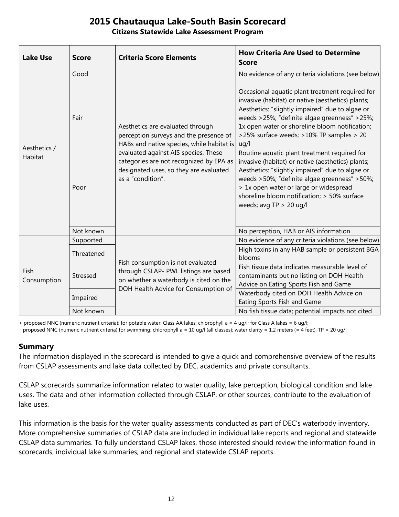#### **Citizens Statewide Lake Assessment Program**

| <b>Lake Use</b>         | <b>Score</b> | <b>Criteria Score Elements</b>                                                                                                                                                                                                                                            | <b>How Criteria Are Used to Determine</b><br><b>Score</b>                                                                                                                                                                                                                                                                  |
|-------------------------|--------------|---------------------------------------------------------------------------------------------------------------------------------------------------------------------------------------------------------------------------------------------------------------------------|----------------------------------------------------------------------------------------------------------------------------------------------------------------------------------------------------------------------------------------------------------------------------------------------------------------------------|
| Aesthetics /<br>Habitat | Good         | Aesthetics are evaluated through<br>perception surveys and the presence of<br>HABs and native species, while habitat is<br>evaluated against AIS species. These<br>categories are not recognized by EPA as<br>designated uses, so they are evaluated<br>as a "condition". | No evidence of any criteria violations (see below)                                                                                                                                                                                                                                                                         |
|                         | Fair         |                                                                                                                                                                                                                                                                           | Occasional aquatic plant treatment required for<br>invasive (habitat) or native (aesthetics) plants;<br>Aesthetics: "slightly impaired" due to algae or<br>weeds >25%; "definite algae greenness" >25%;<br>1x open water or shoreline bloom notification;<br>>25% surface weeds; >10% TP samples > 20<br>uq/l              |
|                         | Poor         |                                                                                                                                                                                                                                                                           | Routine aquatic plant treatment required for<br>invasive (habitat) or native (aesthetics) plants;<br>Aesthetics: "slightly impaired" due to algae or<br>weeds >50%; "definite algae greenness" >50%;<br>> 1x open water or large or widespread<br>shoreline bloom notification; > 50% surface<br>weeds; avg $TP > 20$ ug/l |
|                         | Not known    |                                                                                                                                                                                                                                                                           | No perception, HAB or AIS information                                                                                                                                                                                                                                                                                      |
| Fish<br>Consumption     | Supported    | Fish consumption is not evaluated<br>through CSLAP- PWL listings are based<br>on whether a waterbody is cited on the<br>DOH Health Advice for Consumption of                                                                                                              | No evidence of any criteria violations (see below)                                                                                                                                                                                                                                                                         |
|                         | Threatened   |                                                                                                                                                                                                                                                                           | High toxins in any HAB sample or persistent BGA<br>blooms                                                                                                                                                                                                                                                                  |
|                         | Stressed     |                                                                                                                                                                                                                                                                           | Fish tissue data indicates measurable level of<br>contaminants but no listing on DOH Health<br>Advice on Eating Sports Fish and Game                                                                                                                                                                                       |
|                         | Impaired     |                                                                                                                                                                                                                                                                           | Waterbody cited on DOH Health Advice on<br>Eating Sports Fish and Game                                                                                                                                                                                                                                                     |
|                         | Not known    |                                                                                                                                                                                                                                                                           | No fish tissue data; potential impacts not cited                                                                                                                                                                                                                                                                           |

+ proposed NNC (numeric nutrient criteria): for potable water: Class AA lakes: chlorophyll a = 4 ug/l; for Class A lakes = 6 ug/l; proposed NNC (numeric nutrient criteria) for swimming: chlorophyll a = 10 ug/l (all classes); water clarity = 1.2 meters (= 4 feet), TP = 20 ug/l

#### **Summary**

The information displayed in the scorecard is intended to give a quick and comprehensive overview of the results from CSLAP assessments and lake data collected by DEC, academics and private consultants.

CSLAP scorecards summarize information related to water quality, lake perception, biological condition and lake uses. The data and other information collected through CSLAP, or other sources, contribute to the evaluation of lake uses.

This information is the basis for the water quality assessments conducted as part of DEC's waterbody inventory. More comprehensive summaries of CSLAP data are included in individual lake reports and regional and statewide CSLAP data summaries. To fully understand CSLAP lakes, those interested should review the information found in scorecards, individual lake summaries, and regional and statewide CSLAP reports.